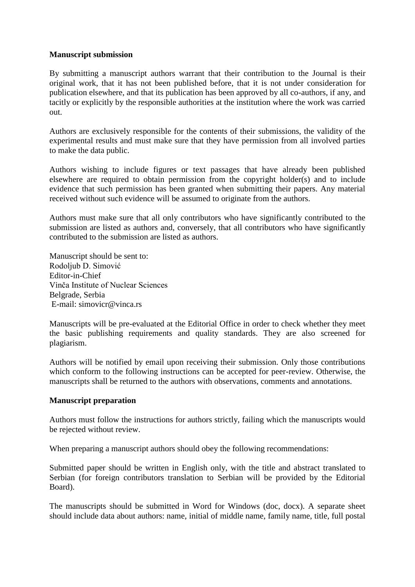## **Manuscript submission**

By submitting a manuscript authors warrant that their contribution to the Journal is their original work, that it has not been published before, that it is not under consideration for publication elsewhere, and that its publication has been approved by all co-authors, if any, and tacitly or explicitly by the responsible authorities at the institution where the work was carried out.

Authors are exclusively responsible for the contents of their submissions, the validity of the experimental results and must make sure that they have permission from all involved parties to make the data public.

Authors wishing to include figures or text passages that have already been published elsewhere are required to obtain permission from the copyright holder(s) and to include evidence that such permission has been granted when submitting their papers. Any material received without such evidence will be assumed to originate from the authors.

Authors must make sure that all only contributors who have significantly contributed to the submission are listed as authors and, conversely, that all contributors who have significantly contributed to the submission are listed as authors.

Manuscript should be sent to: Rodoljub D. Simović Editor-in-Chief Vinča Institute of Nuclear Sciences Belgrade, Serbia E-mail: simovicr@vinca.rs

Manuscripts will be pre-evaluated at the Editorial Office in order to check whether they meet the basic publishing requirements and quality standards. They are also screened for plagiarism.

Authors will be notified by email upon receiving their submission. Only those contributions which conform to the following instructions can be accepted for peer-review. Otherwise, the manuscripts shall be returned to the authors with observations, comments and annotations.

## **Manuscript preparation**

Authors must follow the instructions for authors strictly, failing which the manuscripts would be rejected without review.

When preparing a manuscript authors should obey the following recommendations:

Submitted paper should be written in English only, with the title and abstract translated to Serbian (for foreign contributors translation to Serbian will be provided by the Editorial Board).

The manuscripts should be submitted in Word for Windows (doc, docx). A separate sheet should include data about authors: name, initial of middle name, family name, title, full postal